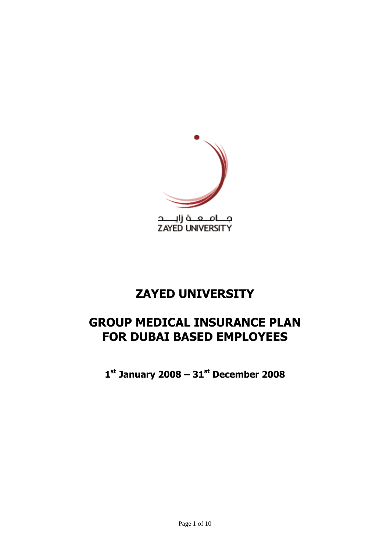

# **ZAYED UNIVERSITY**

# **GROUP MEDICAL INSURANCE PLAN FOR DUBAI BASED EMPLOYEES**

**1 st January 2008 – 31st December 2008**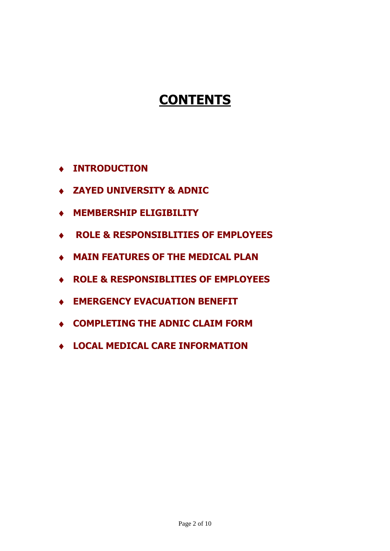# **CONTENTS**

- **INTRODUCTION**
- **ZAYED UNIVERSITY & ADNIC**
- **MEMBERSHIP ELIGIBILITY**
- **ROLE & RESPONSIBLITIES OF EMPLOYEES**
- **MAIN FEATURES OF THE MEDICAL PLAN**
- **ROLE & RESPONSIBLITIES OF EMPLOYEES**
- **EMERGENCY EVACUATION BENEFIT**
- **COMPLETING THE ADNIC CLAIM FORM**
- **LOCAL MEDICAL CARE INFORMATION**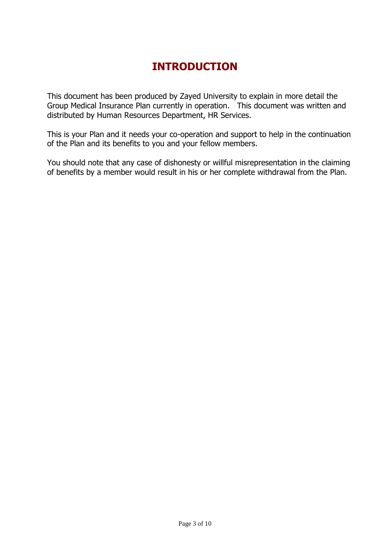## **INTRODUCTION**

This document has been produced by Zayed University to explain in more detail the Group Medical Insurance Plan currently in operation. This document was written and distributed by Human Resources Department, HR Services.

This is your Plan and it needs your co-operation and support to help in the continuation of the Plan and its benefits to you and your fellow members.

You should note that any case of dishonesty or willful misrepresentation in the claiming of benefits by a member would result in his or her complete withdrawal from the Plan.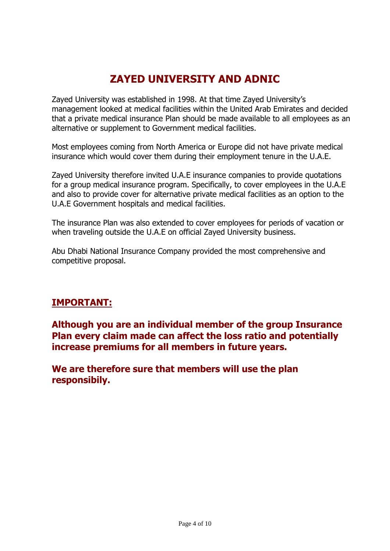## **ZAYED UNIVERSITY AND ADNIC**

Zayed University was established in 1998. At that time Zayed University's management looked at medical facilities within the United Arab Emirates and decided that a private medical insurance Plan should be made available to all employees as an alternative or supplement to Government medical facilities.

Most employees coming from North America or Europe did not have private medical insurance which would cover them during their employment tenure in the U.A.E.

Zayed University therefore invited U.A.E insurance companies to provide quotations for a group medical insurance program. Specifically, to cover employees in the U.A.E and also to provide cover for alternative private medical facilities as an option to the U.A.E Government hospitals and medical facilities.

The insurance Plan was also extended to cover employees for periods of vacation or when traveling outside the U.A.E on official Zayed University business.

Abu Dhabi National Insurance Company provided the most comprehensive and competitive proposal.

## **IMPORTANT:**

**Although you are an individual member of the group Insurance Plan every claim made can affect the loss ratio and potentially increase premiums for all members in future years.**

**We are therefore sure that members will use the plan responsibily.**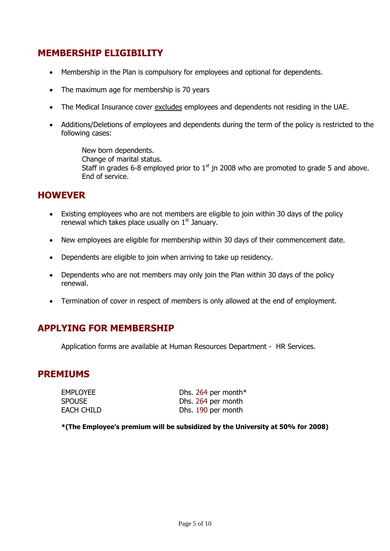## **MEMBERSHIP ELIGIBILITY**

- Membership in the Plan is compulsory for employees and optional for dependents.
- The maximum age for membership is 70 years
- The Medical Insurance cover excludes employees and dependents not residing in the UAE.
- Additions/Deletions of employees and dependents during the term of the policy is restricted to the following cases:

New born dependents. Change of marital status. Staff in grades 6-8 employed prior to  $1<sup>st</sup>$  jn 2008 who are promoted to grade 5 and above. End of service.

### **HOWEVER**

- Existing employees who are not members are eligible to join within 30 days of the policy renewal which takes place usually on  $1<sup>st</sup>$  January.
- New employees are eligible for membership within 30 days of their commencement date.
- Dependents are eligible to join when arriving to take up residency.
- Dependents who are not members may only join the Plan within 30 days of the policy renewal.
- Termination of cover in respect of members is only allowed at the end of employment.

### **APPLYING FOR MEMBERSHIP**

Application forms are available at Human Resources Department - HR Services.

#### **PREMIUMS**

| <b>EMPLOYEE</b> | Dhs. 264 per month* |
|-----------------|---------------------|
| <b>SPOUSE</b>   | Dhs. 264 per month  |
| EACH CHILD      | Dhs. 190 per month  |

**\*(The Employee's premium will be subsidized by the University at 50% for 2008)**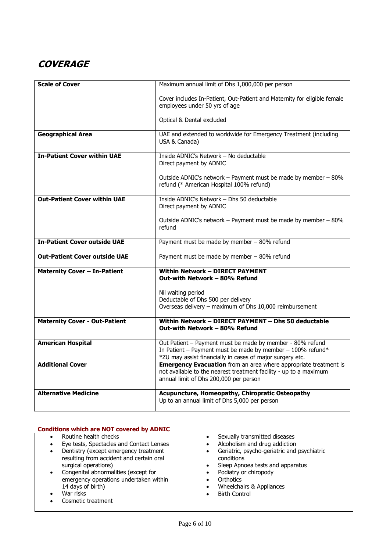## **COVERAGE**

| <b>Scale of Cover</b>                | Maximum annual limit of Dhs 1,000,000 per person                                                                                                                                        |
|--------------------------------------|-----------------------------------------------------------------------------------------------------------------------------------------------------------------------------------------|
|                                      | Cover includes In-Patient, Out-Patient and Maternity for eligible female<br>employees under 50 yrs of age                                                                               |
|                                      | Optical & Dental excluded                                                                                                                                                               |
| <b>Geographical Area</b>             | UAE and extended to worldwide for Emergency Treatment (including<br>USA & Canada)                                                                                                       |
| <b>In-Patient Cover within UAE</b>   | Inside ADNIC's Network - No deductable<br>Direct payment by ADNIC                                                                                                                       |
|                                      | Outside ADNIC's network - Payment must be made by member - 80%<br>refund (* American Hospital 100% refund)                                                                              |
| <b>Out-Patient Cover within UAE</b>  | Inside ADNIC's Network - Dhs 50 deductable<br>Direct payment by ADNIC                                                                                                                   |
|                                      | Outside ADNIC's network - Payment must be made by member - 80%<br>refund                                                                                                                |
| <b>In-Patient Cover outside UAE</b>  | Payment must be made by member - 80% refund                                                                                                                                             |
| <b>Out-Patient Cover outside UAE</b> | Payment must be made by member - 80% refund                                                                                                                                             |
| <b>Maternity Cover - In-Patient</b>  | <b>Within Network - DIRECT PAYMENT</b><br>Out-with Network - 80% Refund                                                                                                                 |
|                                      | Nil waiting period                                                                                                                                                                      |
|                                      | Deductable of Dhs 500 per delivery                                                                                                                                                      |
|                                      | Overseas delivery - maximum of Dhs 10,000 reimbursement                                                                                                                                 |
| <b>Maternity Cover - Out-Patient</b> | Within Network - DIRECT PAYMENT - Dhs 50 deductable<br>Out-with Network - 80% Refund                                                                                                    |
| <b>American Hospital</b>             | Out Patient - Payment must be made by member - 80% refund<br>In Patient - Payment must be made by member - $100\%$ refund*<br>*ZU may assist financially in cases of major surgery etc. |
| <b>Additional Cover</b>              | <b>Emergency Evacuation</b> from an area where appropriate treatment is<br>not available to the nearest treatment facility - up to a maximum<br>annual limit of Dhs 200,000 per person  |
| <b>Alternative Medicine</b>          | Acupuncture, Homeopathy, Chiropratic Osteopathy                                                                                                                                         |
|                                      | Up to an annual limit of Dhs 5,000 per person                                                                                                                                           |

| <b>Conditions which are NOT covered by ADNIC</b>                                                                                                                                                                                                                                                                                                   |                                                                                                                                                                                                                                                                                                               |
|----------------------------------------------------------------------------------------------------------------------------------------------------------------------------------------------------------------------------------------------------------------------------------------------------------------------------------------------------|---------------------------------------------------------------------------------------------------------------------------------------------------------------------------------------------------------------------------------------------------------------------------------------------------------------|
| Routine health checks<br>$\bullet$<br>Eye tests, Spectacles and Contact Lenses<br>$\bullet$<br>Dentistry (except emergency treatment<br>resulting from accident and certain oral<br>surgical operations)<br>Congenital abnormalities (except for<br>emergency operations undertaken within<br>14 days of birth)<br>War risks<br>Cosmetic treatment | Sexually transmitted diseases<br>Alcoholism and drug addiction<br>Geriatric, psycho-geriatric and psychiatric<br>$\bullet$<br>conditions<br>Sleep Apnoea tests and apparatus<br>$\bullet$<br>Podiatry or chiropody<br>Orthotics<br>Wheelchairs & Appliances<br>$\bullet$<br><b>Birth Control</b><br>$\bullet$ |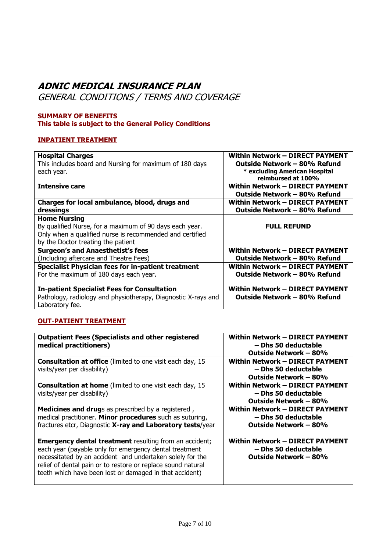## **ADNIC MEDICAL INSURANCE PLAN**

GENERAL CONDITIONS / TERMS AND COVERAGE

#### **SUMMARY OF BENEFITS This table is subject to the General Policy Conditions**

#### **INPATIENT TREATMENT**

| <b>Hospital Charges</b>                                                                                                                                                          | Within Network - DIRECT PAYMENT                                                        |
|----------------------------------------------------------------------------------------------------------------------------------------------------------------------------------|----------------------------------------------------------------------------------------|
| This includes board and Nursing for maximum of 180 days                                                                                                                          | Outside Network - 80% Refund                                                           |
| each year.                                                                                                                                                                       | * excluding American Hospital                                                          |
| <b>Intensive care</b>                                                                                                                                                            | reimbursed at 100%<br>Within Network -- DIRECT PAYMENT<br>Outside Network – 80% Refund |
| Charges for local ambulance, blood, drugs and                                                                                                                                    | Within Network - DIRECT PAYMENT                                                        |
| dressings                                                                                                                                                                        | Outside Network - 80% Refund                                                           |
| <b>Home Nursing</b><br>By qualified Nurse, for a maximum of 90 days each year.<br>Only when a qualified nurse is recommended and certified<br>by the Doctor treating the patient | <b>FULL REFUND</b>                                                                     |
| <b>Surgeon's and Anaesthetist's fees</b>                                                                                                                                         | Within Network - DIRECT PAYMENT                                                        |
| (Including aftercare and Theatre Fees)                                                                                                                                           | Outside Network – 80% Refund                                                           |
| <b>Specialist Physician fees for in-patient treatment</b>                                                                                                                        | Within Network - DIRECT PAYMENT                                                        |
| For the maximum of 180 days each year.                                                                                                                                           | Outside Network - 80% Refund                                                           |
| <b>In-patient Specialist Fees for Consultation</b><br>Pathology, radiology and physiotherapy, Diagnostic X-rays and<br>Laboratory fee.                                           | Within Network – DIRECT PAYMENT<br>Outside Network - 80% Refund                        |

#### **OUT-PATIENT TREATMENT**

| <b>Outpatient Fees (Specialists and other registered</b><br>medical practitioners)                                                                                                                                                                                                                              | <b>Within Network - DIRECT PAYMENT</b><br>– Dhs 50 deductable<br>Outside Network – 80% |
|-----------------------------------------------------------------------------------------------------------------------------------------------------------------------------------------------------------------------------------------------------------------------------------------------------------------|----------------------------------------------------------------------------------------|
| <b>Consultation at office</b> (limited to one visit each day, 15<br>visits/year per disability)                                                                                                                                                                                                                 | Within Network - DIRECT PAYMENT<br>- Dhs 50 deductable<br>Outside Network – 80%        |
| Consultation at home (limited to one visit each day, 15<br>visits/year per disability)                                                                                                                                                                                                                          | Within Network - DIRECT PAYMENT<br>- Dhs 50 deductable<br>Outside Network – 80%        |
| <b>Medicines and drugs</b> as prescribed by a registered,<br>medical practitioner. Minor procedures such as suturing,<br>fractures etcr, Diagnostic X-ray and Laboratory tests/year                                                                                                                             | Within Network - DIRECT PAYMENT<br>- Dhs 50 deductable<br>Outside Network – 80%        |
| <b>Emergency dental treatment</b> resulting from an accident;<br>each year (payable only for emergency dental treatment<br>necessitated by an accident and undertaken solely for the<br>relief of dental pain or to restore or replace sound natural<br>teeth which have been lost or damaged in that accident) | Within Network – DIRECT PAYMENT<br>- Dhs 50 deductable<br>Outside Network – 80%        |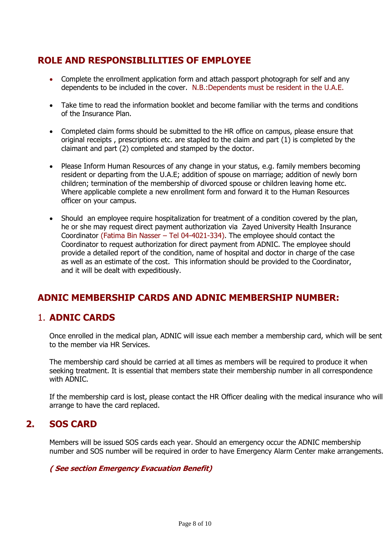## **ROLE AND RESPONSIBLILITIES OF EMPLOYEE**

- Complete the enrollment application form and attach passport photograph for self and any dependents to be included in the cover. N.B.:Dependents must be resident in the U.A.E.
- Take time to read the information booklet and become familiar with the terms and conditions of the Insurance Plan.
- Completed claim forms should be submitted to the HR office on campus, please ensure that original receipts , prescriptions etc. are stapled to the claim and part (1) is completed by the claimant and part (2) completed and stamped by the doctor.
- Please Inform Human Resources of any change in your status, e.g. family members becoming resident or departing from the U.A.E; addition of spouse on marriage; addition of newly born children; termination of the membership of divorced spouse or children leaving home etc. Where applicable complete a new enrollment form and forward it to the Human Resources officer on your campus.
- Should an employee require hospitalization for treatment of a condition covered by the plan, he or she may request direct payment authorization via Zayed University Health Insurance Coordinator (Fatima Bin Nasser – Tel 04-4021-334). The employee should contact the Coordinator to request authorization for direct payment from ADNIC. The employee should provide a detailed report of the condition, name of hospital and doctor in charge of the case as well as an estimate of the cost. This information should be provided to the Coordinator, and it will be dealt with expeditiously.

## **ADNIC MEMBERSHIP CARDS AND ADNIC MEMBERSHIP NUMBER:**

## 1. **ADNIC CARDS**

Once enrolled in the medical plan, ADNIC will issue each member a membership card, which will be sent to the member via HR Services.

The membership card should be carried at all times as members will be required to produce it when seeking treatment. It is essential that members state their membership number in all correspondence with ADNIC.

If the membership card is lost, please contact the HR Officer dealing with the medical insurance who will arrange to have the card replaced.

## **2. SOS CARD**

Members will be issued SOS cards each year. Should an emergency occur the ADNIC membership number and SOS number will be required in order to have Emergency Alarm Center make arrangements.

#### **( See section Emergency Evacuation Benefit)**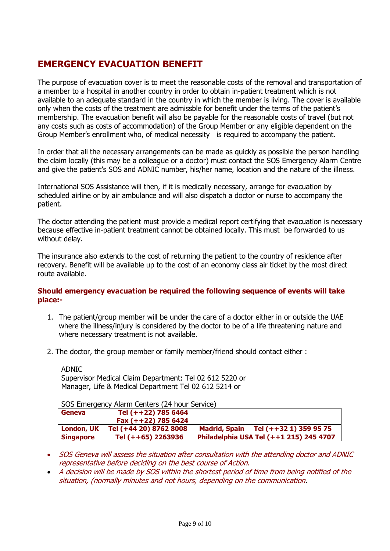## **EMERGENCY EVACUATION BENEFIT**

The purpose of evacuation cover is to meet the reasonable costs of the removal and transportation of a member to a hospital in another country in order to obtain in-patient treatment which is not available to an adequate standard in the country in which the member is living. The cover is available only when the costs of the treatment are admissble for benefit under the terms of the patient's membership. The evacuation benefit will also be payable for the reasonable costs of travel (but not any costs such as costs of accommodation) of the Group Member or any eligible dependent on the Group Member's enrollment who, of medical necessity is required to accompany the patient.

In order that all the necessary arrangements can be made as quickly as possible the person handling the claim locally (this may be a colleague or a doctor) must contact the SOS Emergency Alarm Centre and give the patient's SOS and ADNIC number, his/her name, location and the nature of the illness.

International SOS Assistance will then, if it is medically necessary, arrange for evacuation by scheduled airline or by air ambulance and will also dispatch a doctor or nurse to accompany the patient.

The doctor attending the patient must provide a medical report certifying that evacuation is necessary because effective in-patient treatment cannot be obtained locally. This must be forwarded to us without delay.

The insurance also extends to the cost of returning the patient to the country of residence after recovery. Benefit will be available up to the cost of an economy class air ticket by the most direct route available.

#### **Should emergency evacuation be required the following sequence of events will take place:-**

- 1. The patient/group member will be under the care of a doctor either in or outside the UAE where the illness/injury is considered by the doctor to be of a life threatening nature and where necessary treatment is not available.
- 2. The doctor, the group member or family member/friend should contact either :

ADNIC

Supervisor Medical Claim Department: Tel 02 612 5220 or Manager, Life & Medical Department Tel 02 612 5214 or

SOS Emergency Alarm Centers (24 hour Service)

| <b>Geneva</b>     | Tel (++22) 785 6464    |                                                |
|-------------------|------------------------|------------------------------------------------|
|                   | Fax $(++22)$ 785 6424  |                                                |
| <b>London, UK</b> | Tel (+44 20) 8762 8008 | Tel (++32 1) 359 95 75<br><b>Madrid, Spain</b> |
| <b>Singapore</b>  | Tel (++65) 2263936     | Philadelphia USA Tel (++1 215) 245 4707        |

- SOS Geneva will assess the situation after consultation with the attending doctor and ADNIC representative before deciding on the best course of Action.
- A decision will be made by SOS within the shortest period of time from being notified of the situation, (normally minutes and not hours, depending on the communication.